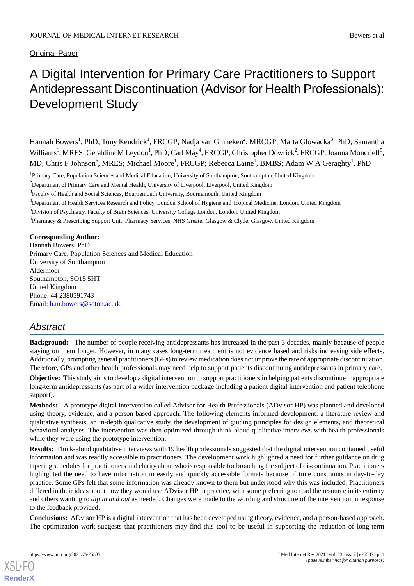# Original Paper

# A Digital Intervention for Primary Care Practitioners to Support Antidepressant Discontinuation (Advisor for Health Professionals): Development Study

Hannah Bowers<sup>1</sup>, PhD; Tony Kendrick<sup>1</sup>, FRCGP; Nadja van Ginneken<sup>2</sup>, MRCGP; Marta Glowacka<sup>3</sup>, PhD; Samantha Williams<sup>1</sup>, MRES; Geraldine M Leydon<sup>1</sup>, PhD; Carl May<sup>4</sup>, FRCGP; Christopher Dowrick<sup>2</sup>, FRCGP; Joanna Moncrieff<sup>5</sup>, MD; Chris F Johnson<sup>6</sup>, MRES; Michael Moore<sup>1</sup>, FRCGP; Rebecca Laine<sup>1</sup>, BMBS; Adam W A Geraghty<sup>1</sup>, PhD

<sup>4</sup>Department of Health Services Research and Policy, London School of Hygiene and Tropical Medicine, London, United Kingdom

<sup>6</sup>Pharmacy & Prescribing Support Unit, Pharmacy Services, NHS Greater Glasgow & Clyde, Glasgow, United Kingdom

**Corresponding Author:**

Hannah Bowers, PhD Primary Care, Population Sciences and Medical Education University of Southampton Aldermoor Southampton, SO15 5HT United Kingdom Phone: 44 2380591743 Email: [h.m.bowers@soton.ac.uk](mailto:h.m.bowers@soton.ac.uk)

# *Abstract*

**Background:** The number of people receiving antidepressants has increased in the past 3 decades, mainly because of people staying on them longer. However, in many cases long-term treatment is not evidence based and risks increasing side effects. Additionally, prompting general practitioners (GPs) to review medication does not improve the rate of appropriate discontinuation. Therefore, GPs and other health professionals may need help to support patients discontinuing antidepressants in primary care.

**Objective:** This study aims to develop a digital intervention to support practitioners in helping patients discontinue inappropriate long-term antidepressants (as part of a wider intervention package including a patient digital intervention and patient telephone support).

**Methods:** A prototype digital intervention called Advisor for Health Professionals (ADvisor HP) was planned and developed using theory, evidence, and a person-based approach. The following elements informed development: a literature review and qualitative synthesis, an in-depth qualitative study, the development of guiding principles for design elements, and theoretical behavioral analyses. The intervention was then optimized through think-aloud qualitative interviews with health professionals while they were using the prototype intervention.

**Results:** Think-aloud qualitative interviews with 19 health professionals suggested that the digital intervention contained useful information and was readily accessible to practitioners. The development work highlighted a need for further guidance on drug tapering schedules for practitioners and clarity about who is responsible for broaching the subject of discontinuation. Practitioners highlighted the need to have information in easily and quickly accessible formats because of time constraints in day-to-day practice. Some GPs felt that some information was already known to them but understood why this was included. Practitioners differed in their ideas about how they would use ADvisor HP in practice, with some preferring to read the resource in its entirety and others wanting to *dip in and out* as needed. Changes were made to the wording and structure of the intervention in response to the feedback provided.

**Conclusions:** ADvisor HP is a digital intervention that has been developed using theory, evidence, and a person-based approach. The optimization work suggests that practitioners may find this tool to be useful in supporting the reduction of long-term

<sup>&</sup>lt;sup>1</sup>Primary Care, Population Sciences and Medical Education, University of Southampton, Southampton, United Kingdom

<sup>&</sup>lt;sup>2</sup>Department of Primary Care and Mental Health, University of Liverpool, Liverpool, United Kingdom

<sup>&</sup>lt;sup>3</sup> Faculty of Health and Social Sciences, Bournemouth University, Bournemouth, United Kingdom

<sup>5</sup>Division of Psychiatry, Faculty of Brain Sciences, University College London, London, United Kingdom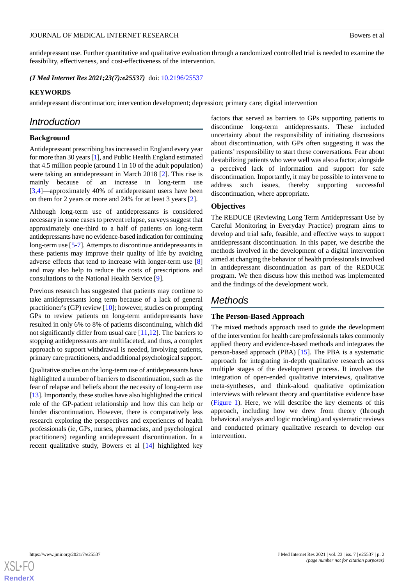antidepressant use. Further quantitative and qualitative evaluation through a randomized controlled trial is needed to examine the feasibility, effectiveness, and cost-effectiveness of the intervention.

*(J Med Internet Res 2021;23(7):e25537)* doi:  $10.2196/25537$ 

#### **KEYWORDS**

antidepressant discontinuation; intervention development; depression; primary care; digital intervention

# *Introduction*

#### **Background**

Antidepressant prescribing has increased in England every year for more than 30 years [[1\]](#page-12-0), and Public Health England estimated that 4.5 million people (around 1 in 10 of the adult population) were taking an antidepressant in March 2018 [[2\]](#page-12-1). This rise is mainly because of an increase in long-term use [[3](#page-12-2)[,4](#page-12-3)]—approximately 40% of antidepressant users have been on them for 2 years or more and 24% for at least 3 years [[2\]](#page-12-1).

Although long-term use of antidepressants is considered necessary in some cases to prevent relapse, surveys suggest that approximately one-third to a half of patients on long-term antidepressants have no evidence-based indication for continuing long-term use [[5-](#page-12-4)[7](#page-12-5)]. Attempts to discontinue antidepressants in these patients may improve their quality of life by avoiding adverse effects that tend to increase with longer-term use [\[8](#page-12-6)] and may also help to reduce the costs of prescriptions and consultations to the National Health Service [[9\]](#page-12-7).

Previous research has suggested that patients may continue to take antidepressants long term because of a lack of general practitioner's (GP) review [\[10](#page-12-8)]; however, studies on prompting GPs to review patients on long-term antidepressants have resulted in only 6% to 8% of patients discontinuing, which did not significantly differ from usual care [\[11](#page-12-9),[12\]](#page-12-10). The barriers to stopping antidepressants are multifaceted, and thus, a complex approach to support withdrawal is needed, involving patients, primary care practitioners, and additional psychological support.

Qualitative studies on the long-term use of antidepressants have highlighted a number of barriers to discontinuation, such as the fear of relapse and beliefs about the necessity of long-term use [[13\]](#page-12-11). Importantly, these studies have also highlighted the critical role of the GP-patient relationship and how this can help or hinder discontinuation. However, there is comparatively less research exploring the perspectives and experiences of health professionals (ie, GPs, nurses, pharmacists, and psychological practitioners) regarding antidepressant discontinuation. In a recent qualitative study, Bowers et al [\[14](#page-12-12)] highlighted key

factors that served as barriers to GPs supporting patients to discontinue long-term antidepressants. These included uncertainty about the responsibility of initiating discussions about discontinuation, with GPs often suggesting it was the patients' responsibility to start these conversations. Fear about destabilizing patients who were well was also a factor, alongside a perceived lack of information and support for safe discontinuation. Importantly, it may be possible to intervene to address such issues, thereby supporting successful discontinuation, where appropriate.

#### **Objectives**

The REDUCE (Reviewing Long Term Antidepressant Use by Careful Monitoring in Everyday Practice) program aims to develop and trial safe, feasible, and effective ways to support antidepressant discontinuation. In this paper, we describe the methods involved in the development of a digital intervention aimed at changing the behavior of health professionals involved in antidepressant discontinuation as part of the REDUCE program. We then discuss how this method was implemented and the findings of the development work.

# *Methods*

### **The Person-Based Approach**

The mixed methods approach used to guide the development of the intervention for health care professionals takes commonly applied theory and evidence-based methods and integrates the person-based approach (PBA) [\[15](#page-12-13)]. The PBA is a systematic approach for integrating in-depth qualitative research across multiple stages of the development process. It involves the integration of open-ended qualitative interviews, qualitative meta-syntheses, and think-aloud qualitative optimization interviews with relevant theory and quantitative evidence base ([Figure 1](#page-2-0)). Here, we will describe the key elements of this approach, including how we drew from theory (through behavioral analysis and logic modeling) and systematic reviews and conducted primary qualitative research to develop our intervention.

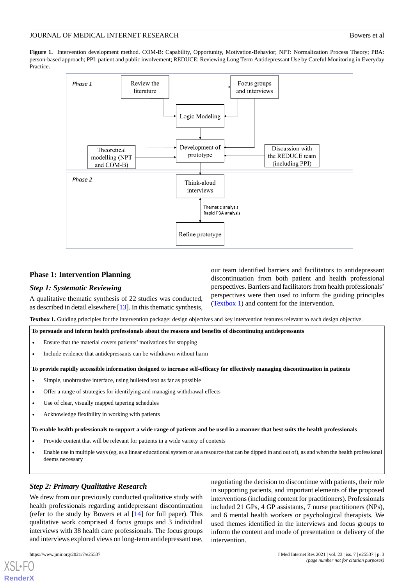<span id="page-2-0"></span>**Figure 1.** Intervention development method. COM-B: Capability, Opportunity, Motivation-Behavior; NPT: Normalization Process Theory; PBA: person-based approach; PPI: patient and public involvement; REDUCE: Reviewing Long Term Antidepressant Use by Careful Monitoring in Everyday **Practice** 



# **Phase 1: Intervention Planning**

#### <span id="page-2-1"></span>*Step 1: Systematic Reviewing*

A qualitative thematic synthesis of 22 studies was conducted, as described in detail elsewhere [[13\]](#page-12-11). In this thematic synthesis, our team identified barriers and facilitators to antidepressant discontinuation from both patient and health professional perspectives. Barriers and facilitators from health professionals' perspectives were then used to inform the guiding principles ([Textbox 1\)](#page-2-1) and content for the intervention.

negotiating the decision to discontinue with patients, their role in supporting patients, and important elements of the proposed interventions (including content for practitioners). Professionals included 21 GPs, 4 GP assistants, 7 nurse practitioners (NPs), and 6 mental health workers or psychological therapists. We used themes identified in the interviews and focus groups to inform the content and mode of presentation or delivery of the

**Textbox 1.** Guiding principles for the intervention package: design objectives and key intervention features relevant to each design objective.

**To persuade and inform health professionals about the reasons and benefits of discontinuing antidepressants**

- Ensure that the material covers patients' motivations for stopping
- Include evidence that antidepressants can be withdrawn without harm

**To provide rapidly accessible information designed to increase self-efficacy for effectively managing discontinuation in patients**

- Simple, unobtrusive interface, using bulleted text as far as possible
- Offer a range of strategies for identifying and managing withdrawal effects
- Use of clear, visually mapped tapering schedules
- Acknowledge flexibility in working with patients

**To enable health professionals to support a wide range of patients and be used in a manner that best suits the health professionals**

- Provide content that will be relevant for patients in a wide variety of contexts
- Enable use in multiple ways (eg, as a linear educational system or as a resource that can be dipped in and out of), as and when the health professional deems necessary

intervention.

# *Step 2: Primary Qualitative Research*

We drew from our previously conducted qualitative study with health professionals regarding antidepressant discontinuation (refer to the study by Bowers et al [[14\]](#page-12-12) for full paper). This qualitative work comprised 4 focus groups and 3 individual interviews with 38 health care professionals. The focus groups and interviews explored views on long-term antidepressant use,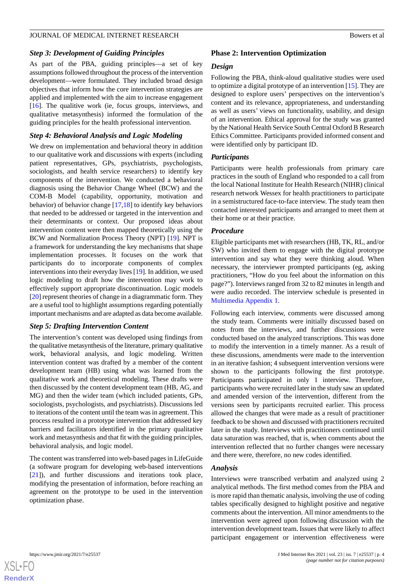#### *Step 3: Development of Guiding Principles*

As part of the PBA, guiding principles—a set of key assumptions followed throughout the process of the intervention development—were formulated. They included broad design objectives that inform how the core intervention strategies are applied and implemented with the aim to increase engagement [[16\]](#page-12-14). The qualitive work (ie, focus groups, interviews, and qualitative metasynthesis) informed the formulation of the guiding principles for the health professional intervention.

# *Step 4: Behavioral Analysis and Logic Modeling*

We drew on implementation and behavioral theory in addition to our qualitative work and discussions with experts (including patient representatives, GPs, psychiatrists, psychologists, sociologists, and health service researchers) to identify key components of the intervention. We conducted a behavioral diagnosis using the Behavior Change Wheel (BCW) and the COM-B Model (capability, opportunity, motivation and behavior) of behavior change [[17,](#page-12-15)[18](#page-13-0)] to identify key behaviors that needed to be addressed or targeted in the intervention and their determinants or context. Our proposed ideas about intervention content were then mapped theoretically using the BCW and Normalization Process Theory (NPT) [\[19](#page-13-1)]. NPT is a framework for understanding the key mechanisms that shape implementation processes. It focuses on the work that participants do to incorporate components of complex interventions into their everyday lives [\[19](#page-13-1)]. In addition, we used logic modeling to draft how the intervention may work to effectively support appropriate discontinuation. Logic models [[20\]](#page-13-2) represent theories of change in a diagrammatic form. They are a useful tool to highlight assumptions regarding potentially important mechanisms and are adapted as data become available.

#### *Step 5: Drafting Intervention Content*

The intervention's content was developed using findings from the qualitative metasynthesis of the literature, primary qualitative work, behavioral analysis, and logic modeling. Written intervention content was drafted by a member of the content development team (HB) using what was learned from the qualitative work and theoretical modeling. These drafts were then discussed by the content development team (HB, AG, and MG) and then the wider team (which included patients, GPs, sociologists, psychologists, and psychiatrists). Discussions led to iterations of the content until the team was in agreement. This process resulted in a prototype intervention that addressed key barriers and facilitators identified in the primary qualitative work and metasynthesis and that fit with the guiding principles, behavioral analysis, and logic model.

The content was transferred into web-based pages in LifeGuide (a software program for developing web-based interventions [[21\]](#page-13-3)), and further discussions and iterations took place, modifying the presentation of information, before reaching an agreement on the prototype to be used in the intervention optimization phase.

#### **Phase 2: Intervention Optimization**

#### *Design*

Following the PBA, think-aloud qualitative studies were used to optimize a digital prototype of an intervention [\[15](#page-12-13)]. They are designed to explore users' perspectives on the intervention's content and its relevance, appropriateness, and understanding as well as users' views on functionality, usability, and design of an intervention. Ethical approval for the study was granted by the National Health Service South Central Oxford B Research Ethics Committee. Participants provided informed consent and were identified only by participant ID.

#### *Participants*

Participants were health professionals from primary care practices in the south of England who responded to a call from the local National Institute for Health Research (NIHR) clinical research network Wessex for health practitioners to participate in a semistructured face-to-face interview. The study team then contacted interested participants and arranged to meet them at their home or at their practice.

#### *Procedure*

Eligible participants met with researchers (HB, TK, RL, and/or SW) who invited them to engage with the digital prototype intervention and say what they were thinking aloud. When necessary, the interviewer prompted participants (eg, asking practitioners, "How do you feel about the information on this page?"). Interviews ranged from 32 to 82 minutes in length and were audio recorded. The interview schedule is presented in [Multimedia Appendix 1.](#page-11-0)

Following each interview, comments were discussed among the study team. Comments were initially discussed based on notes from the interviews, and further discussions were conducted based on the analyzed transcriptions. This was done to modify the intervention in a timely manner. As a result of these discussions, amendments were made to the intervention in an iterative fashion; 4 subsequent intervention versions were shown to the participants following the first prototype. Participants participated in only 1 interview. Therefore, participants who were recruited later in the study saw an updated and amended version of the intervention, different from the versions seen by participants recruited earlier. This process allowed the changes that were made as a result of practitioner feedback to be shown and discussed with practitioners recruited later in the study. Interviews with practitioners continued until data saturation was reached, that is, when comments about the intervention reflected that no further changes were necessary and there were, therefore, no new codes identified.

#### *Analysis*

Interviews were transcribed verbatim and analyzed using 2 analytical methods. The first method comes from the PBA and is more rapid than thematic analysis, involving the use of coding tables specifically designed to highlight positive and negative comments about the intervention. All minor amendments to the intervention were agreed upon following discussion with the intervention development team. Issues that were likely to affect participant engagement or intervention effectiveness were

 $XS$ -FO **[RenderX](http://www.renderx.com/)**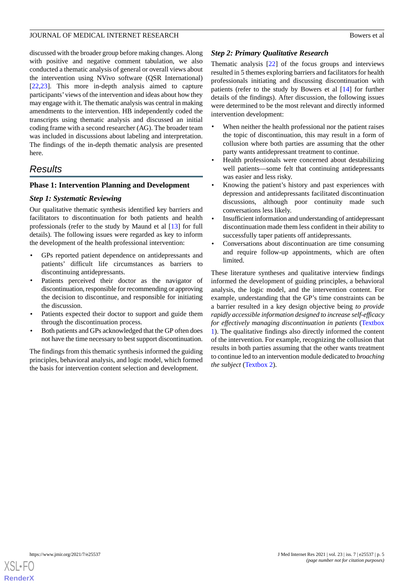discussed with the broader group before making changes. Along with positive and negative comment tabulation, we also conducted a thematic analysis of general or overall views about the intervention using NVivo software (QSR International) [[22](#page-13-4)[,23](#page-13-5)]. This more in-depth analysis aimed to capture participants'views of the intervention and ideas about how they may engage with it. The thematic analysis was central in making amendments to the intervention. HB independently coded the transcripts using thematic analysis and discussed an initial coding frame with a second researcher (AG). The broader team was included in discussions about labeling and interpretation. The findings of the in-depth thematic analysis are presented here.

# *Results*

# **Phase 1: Intervention Planning and Development**

# *Step 1: Systematic Reviewing*

Our qualitative thematic synthesis identified key barriers and facilitators to discontinuation for both patients and health professionals (refer to the study by Maund et al [[13\]](#page-12-11) for full details). The following issues were regarded as key to inform the development of the health professional intervention:

- GPs reported patient dependence on antidepressants and patients' difficult life circumstances as barriers to discontinuing antidepressants.
- Patients perceived their doctor as the navigator of discontinuation, responsible for recommending or approving the decision to discontinue, and responsible for initiating the discussion.
- Patients expected their doctor to support and guide them through the discontinuation process.
- Both patients and GPs acknowledged that the GP often does not have the time necessary to best support discontinuation.

The findings from this thematic synthesis informed the guiding principles, behavioral analysis, and logic model, which formed the basis for intervention content selection and development.

# *Step 2: Primary Qualitative Research*

Thematic analysis [\[22](#page-13-4)] of the focus groups and interviews resulted in 5 themes exploring barriers and facilitators for health professionals initiating and discussing discontinuation with patients (refer to the study by Bowers et al [[14\]](#page-12-12) for further details of the findings). After discussion, the following issues were determined to be the most relevant and directly informed intervention development:

- When neither the health professional nor the patient raises the topic of discontinuation, this may result in a form of collusion where both parties are assuming that the other party wants antidepressant treatment to continue.
- Health professionals were concerned about destabilizing well patients—some felt that continuing antidepressants was easier and less risky.
- Knowing the patient's history and past experiences with depression and antidepressants facilitated discontinuation discussions, although poor continuity made such conversations less likely.
- Insufficient information and understanding of antidepressant discontinuation made them less confident in their ability to successfully taper patients off antidepressants.
- Conversations about discontinuation are time consuming and require follow-up appointments, which are often limited.

These literature syntheses and qualitative interview findings informed the development of guiding principles, a behavioral analysis, the logic model, and the intervention content. For example, understanding that the GP's time constraints can be a barrier resulted in a key design objective being *to provide rapidly accessible information designed to increase self-efficacy for effectively managing discontinuation in patients* [\(Textbox](#page-2-1) [1\)](#page-2-1). The qualitative findings also directly informed the content of the intervention. For example, recognizing the collusion that results in both parties assuming that the other wants treatment to continue led to an intervention module dedicated to *broaching the subject* [\(Textbox 2](#page-5-0)).

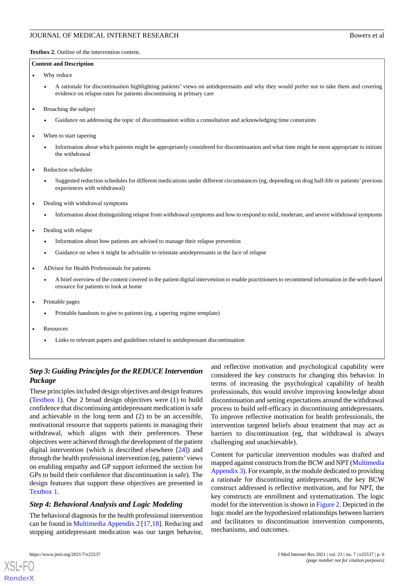<span id="page-5-0"></span>**Textbox 2.** Outline of the intervention content.

#### **Content and Description**

- Why reduce
	- A rationale for discontinuation highlighting patients' views on antidepressants and why they would prefer not to take them and covering evidence on relapse rates for patients discontinuing in primary care
- Broaching the subject
	- Guidance on addressing the topic of discontinuation within a consultation and acknowledging time constraints
- When to start tapering
	- Information about which patients might be appropriately considered for discontinuation and what time might be most appropriate to initiate the withdrawal
- Reduction schedules
	- Suggested reduction schedules for different medications under different circumstances (eg, depending on drug half-life or patients' previous experiences with withdrawal)
- Dealing with withdrawal symptoms
	- Information about distinguishing relapse from withdrawal symptoms and how to respond to mild, moderate, and severe withdrawal symptoms
- Dealing with relapse
	- Information about how patients are advised to manage their relapse prevention
	- Guidance on when it might be advisable to reinstate antidepressants in the face of relapse
- ADvisor for Health Professionals for patients
	- A brief overview of the content covered in the patient digital intervention to enable practitioners to recommend information in the web-based resource for patients to look at home
- Printable pages
	- Printable handouts to give to patients (eg, a tapering regime template)
- **Resources** 
	- Links to relevant papers and guidelines related to antidepressant discontinuation

# *Step 3: Guiding Principles for the REDUCE Intervention Package*

These principles included design objectives and design features ([Textbox 1\)](#page-2-1). Our 2 broad design objectives were (1) to build confidence that discontinuing antidepressant medication is safe and achievable in the long term and (2) to be an accessible, motivational resource that supports patients in managing their withdrawal, which aligns with their preferences. These objectives were achieved through the development of the patient digital intervention (which is described elsewhere [\[24](#page-13-6)]) and through the health professional intervention (eg, patients'views on enabling empathy and GP support informed the section for GPs to build their confidence that discontinuation is safe). The design features that support these objectives are presented in [Textbox 1](#page-2-1).

#### *Step 4: Behavioral Analysis and Logic Modeling*

The behavioral diagnosis for the health professional intervention can be found in [Multimedia Appendix 2](#page-12-16) [\[17](#page-12-15),[18\]](#page-13-0). Reducing and stopping antidepressant medication was our target behavior,

and reflective motivation and psychological capability were considered the key constructs for changing this behavior. In terms of increasing the psychological capability of health professionals, this would involve improving knowledge about discontinuation and setting expectations around the withdrawal process to build self-efficacy in discontinuing antidepressants. To improve reflective motivation for health professionals, the intervention targeted beliefs about treatment that may act as barriers to discontinuation (eg, that withdrawal is always challenging and unachievable).

Content for particular intervention modules was drafted and mapped against constructs from the BCW and NPT [\(Multimedia](#page-12-17) [Appendix 3](#page-12-17)). For example, in the module dedicated to providing a rationale for discontinuing antidepressants, the key BCW construct addressed is reflective motivation, and for NPT, the key constructs are enrollment and systematization. The logic model for the intervention is shown in [Figure 2](#page-6-0). Depicted in the logic model are the hypothesized relationships between barriers and facilitators to discontinuation intervention components, mechanisms, and outcomes.

```
XSL•FO
RenderX
```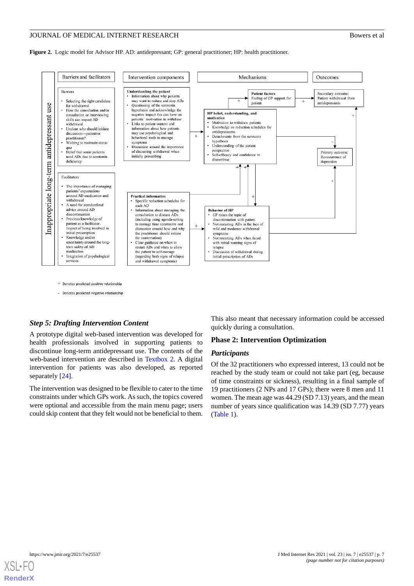<span id="page-6-0"></span>**Figure 2.** Logic model for Advisor HP. AD: antidepressant; GP: general practitioner; HP: health practitioner.



+ Denotes predicted positive relationship

- Denotes predicted negative relationship

#### *Step 5: Drafting Intervention Content*

A prototype digital web-based intervention was developed for health professionals involved in supporting patients to discontinue long-term antidepressant use. The contents of the web-based intervention are described in [Textbox 2.](#page-5-0) A digital intervention for patients was also developed, as reported separately [[24\]](#page-13-6).

The intervention was designed to be flexible to cater to the time constraints under which GPs work. As such, the topics covered were optional and accessible from the main menu page; users could skip content that they felt would not be beneficial to them.

This also meant that necessary information could be accessed quickly during a consultation.

# **Phase 2: Intervention Optimization**

#### *Participants*

Of the 32 practitioners who expressed interest, 13 could not be reached by the study team or could not take part (eg, because of time constraints or sickness), resulting in a final sample of 19 practitioners (2 NPs and 17 GPs); there were 8 men and 11 women. The mean age was 44.29 (SD 7.13) years, and the mean number of years since qualification was 14.39 (SD 7.77) years ([Table 1](#page-7-0)).

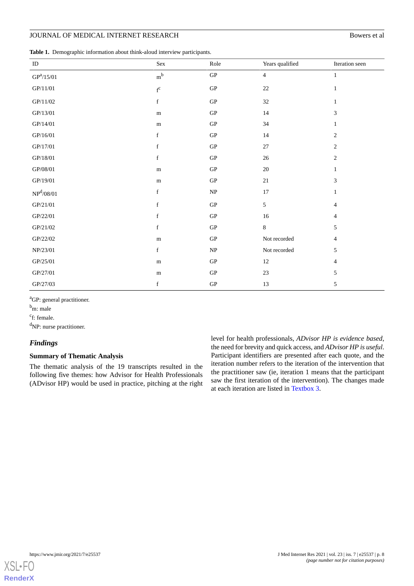<span id="page-7-0"></span>

|  | Table 1. Demographic information about think-aloud interview participants. |  |  |  |  |  |  |
|--|----------------------------------------------------------------------------|--|--|--|--|--|--|
|--|----------------------------------------------------------------------------|--|--|--|--|--|--|

| ID                                             | Sex                     | Role                              | Years qualified | Iteration seen              |
|------------------------------------------------|-------------------------|-----------------------------------|-----------------|-----------------------------|
| ${\rm GP}^a/15/01$                             | $\rm m^b$               | ${\rm GP}$                        | $\overline{4}$  | $\mathbf{1}$                |
| GP/11/01                                       | $\mathbf{f}^\mathrm{c}$ | ${\rm GP}$                        | $22\,$          | $\mathbf{1}$                |
| GP/11/02                                       | $\mathbf f$             | ${\rm GP}$                        | 32              | $\mathbf{1}$                |
| GP/13/01                                       | ${\bf m}$               | ${\rm GP}$                        | 14              | $\mathfrak{Z}$              |
| GP/14/01                                       | ${\bf m}$               | ${\rm GP}$                        | $34\,$          | $\mathbf{1}$                |
| $\textrm{GP}/16/01$                            | f                       | ${\rm GP}$                        | 14              | $\sqrt{2}$                  |
| GP/17/01                                       | $\mathbf f$             | ${\rm GP}$                        | $27\,$          | $\sqrt{2}$                  |
| GP/18/01                                       | $\mathbf f$             | GP                                | 26              | $\sqrt{2}$                  |
| GP/08/01                                       | ${\bf m}$               | ${\rm GP}$                        | $20\,$          | $\mathbf{1}$                |
| $\textrm{GP}/19/01$                            | m                       | ${\rm GP}$                        | $21\,$          | $\ensuremath{\mathfrak{Z}}$ |
| $\mathbf{NP}^{\mathbf{d}}\text{/}08\text{/}01$ | f                       | $\ensuremath{\mathbf{NP}}\xspace$ | 17              | $\mathbf{1}$                |
| $\textrm{GP}/21/01$                            | $\mathbf f$             | ${\rm GP}$                        | $\mathfrak{S}$  | $\overline{4}$              |
| GP/22/01                                       | f                       | ${\rm GP}$                        | 16              | $\overline{4}$              |
| GP/21/02                                       | f                       | ${\rm GP}$                        | $8\,$           | $\sqrt{5}$                  |
| GP/22/02                                       | ${\bf m}$               | ${\rm GP}$                        | Not recorded    | $\overline{4}$              |
| NP/23/01                                       | $\mathbf f$             | NP                                | Not recorded    | $\sqrt{5}$                  |
| $\textrm{GP}/25/01$                            | ${\bf m}$               | ${\rm GP}$                        | $12\,$          | $\overline{4}$              |
| GP/27/01                                       | ${\bf m}$               | ${\rm GP}$                        | $23\,$          | $\sqrt{5}$                  |
| GP/27/03                                       | $\mathbf f$             | ${\rm GP}$                        | 13              | 5                           |

<sup>a</sup>GP: general practitioner.

b<sub>m</sub>: male

<sup>c</sup>f: female.

<sup>d</sup>NP: nurse practitioner.

# *Findings*

#### **Summary of Thematic Analysis**

The thematic analysis of the 19 transcripts resulted in the following five themes: how Advisor for Health Professionals (ADvisor HP) would be used in practice, pitching at the right level for health professionals, *ADvisor HP is evidence based*, the need for brevity and quick access, and *ADvisor HP is useful*. Participant identifiers are presented after each quote, and the iteration number refers to the iteration of the intervention that the practitioner saw (ie, iteration 1 means that the participant saw the first iteration of the intervention). The changes made at each iteration are listed in [Textbox 3](#page-8-0).

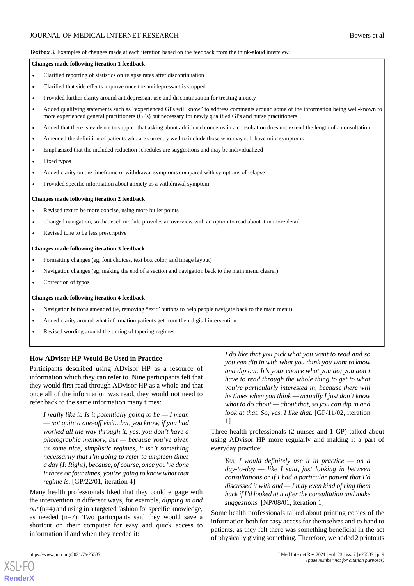<span id="page-8-0"></span>**Textbox 3.** Examples of changes made at each iteration based on the feedback from the think-aloud interview.

#### **Changes made following iteration 1 feedback**

- Clarified reporting of statistics on relapse rates after discontinuation
- Clarified that side effects improve once the antidepressant is stopped
- Provided further clarity around antidepressant use and discontinuation for treating anxiety
- Added qualifying statements such as "experienced GPs will know" to address comments around some of the information being well-known to more experienced general practitioners (GPs) but necessary for newly qualified GPs and nurse practitioners
- Added that there is evidence to support that asking about additional concerns in a consultation does not extend the length of a consultation
- Amended the definition of patients who are currently well to include those who may still have mild symptoms
- Emphasized that the included reduction schedules are suggestions and may be individualized
- Fixed typos
- Added clarity on the timeframe of withdrawal symptoms compared with symptoms of relapse
- Provided specific information about anxiety as a withdrawal symptom

#### **Changes made following iteration 2 feedback**

- Revised text to be more concise, using more bullet points
- Changed navigation, so that each module provides an overview with an option to read about it in more detail
- Revised tone to be less prescriptive

#### **Changes made following iteration 3 feedback**

- Formatting changes (eg, font choices, text box color, and image layout)
- Navigation changes (eg, making the end of a section and navigation back to the main menu clearer)
- Correction of typos

#### **Changes made following iteration 4 feedback**

- Navigation buttons amended (ie, removing "exit" buttons to help people navigate back to the main menu)
- Added clarity around what information patients get from their digital intervention
- Revised wording around the timing of tapering regimes

#### **How ADvisor HP Would Be Used in Practice**

Participants described using ADvisor HP as a resource of information which they can refer to. Nine participants felt that they would first read through ADvisor HP as a whole and that once all of the information was read, they would not need to refer back to the same information many times:

*I really like it. Is it potentially going to be — I mean — not quite a one-off visit...but, you know, if you had worked all the way through it, yes, you don't have a photographic memory, but — because you've given us some nice, simplistic regimes, it isn't something necessarily that I'm going to refer to umpteen times a day [I: Right], because, of course, once you've done it three or four times, you're going to know what that regime is.* [GP/22/01, iteration 4]

Many health professionals liked that they could engage with the intervention in different ways, for example, *dipping in and out* (n=4) and using in a targeted fashion for specific knowledge, as needed (n=7). Two participants said they would save a shortcut on their computer for easy and quick access to information if and when they needed it:

*I do like that you pick what you want to read and so you can dip in with what you think you want to know and dip out. It's your choice what you do; you don't have to read through the whole thing to get to what you're particularly interested in, because there will be times when you think — actually I just don't know what to do about — about that, so you can dip in and look at that. So, yes, I like that.* [GP/11/02, iteration 1]

Three health professionals (2 nurses and 1 GP) talked about using ADvisor HP more regularly and making it a part of everyday practice:

*Yes, I would definitely use it in practice — on a day-to-day — like I said, just looking in between consultations or if I had a particular patient that I'd discussed it with and — I may even kind of ring them back if I'd looked at it after the consultation and make suggestions.* [NP/08/01, iteration 1]

Some health professionals talked about printing copies of the information both for easy access for themselves and to hand to patients, as they felt there was something beneficial in the act of physically giving something. Therefore, we added 2 printouts

```
XSL•FO
RenderX
```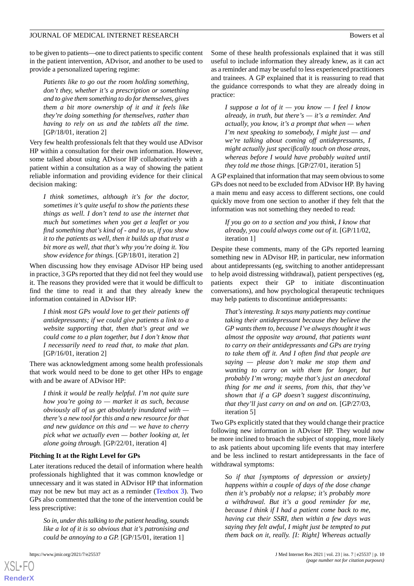to be given to patients—one to direct patients to specific content in the patient intervention, ADvisor, and another to be used to provide a personalized tapering regime:

*Patients like to go out the room holding something, don't they, whether it's a prescription or something and to give them something to do for themselves, gives them a bit more ownership of it and it feels like they're doing something for themselves, rather than having to rely on us and the tablets all the time.* [GP/18/01, iteration 2]

Very few health professionals felt that they would use ADvisor HP within a consultation for their own information. However, some talked about using ADvisor HP collaboratively with a patient within a consultation as a way of showing the patient reliable information and providing evidence for their clinical decision making:

*I think sometimes, although it's for the doctor, sometimes it's quite useful to show the patients these things as well. I don't tend to use the internet that much but sometimes when you get a leaflet or you find something that's kind of - and to us, if you show it to the patients as well, then it builds up that trust a bit more as well, that that's why you're doing it. You show evidence for things.* [GP/18/01, iteration 2]

When discussing how they envisage ADvisor HP being used in practice, 3 GPs reported that they did not feel they would use it. The reasons they provided were that it would be difficult to find the time to read it and that they already knew the information contained in ADvisor HP:

*I think most GPs would love to get their patients off antidepressants; if we could give patients a link to a website supporting that, then that's great and we could come to a plan together, but I don't know that I necessarily need to read that, to make that plan.* [GP/16/01, iteration 2]

There was acknowledgment among some health professionals that work would need to be done to get other HPs to engage with and be aware of ADvisor HP:

*I think it would be really helpful. I'm not quite sure how you're going to — market it as such, because obviously all of us get absolutely inundated with there's a new tool for this and a new resource for that and new guidance on this and — we have to cherry pick what we actually even — bother looking at, let alone going through.* [GP/22/01, iteration 4]

#### **Pitching It at the Right Level for GPs**

Later iterations reduced the detail of information where health professionals highlighted that it was common knowledge or unnecessary and it was stated in ADvisor HP that information may not be new but may act as a reminder [\(Textbox 3](#page-8-0)). Two GPs also commented that the tone of the intervention could be less prescriptive:

*So in, under this talking to the patient heading, sounds like a lot of it is so obvious that it's patronising and could be annoying to a GP.* [GP/15/01, iteration 1]

[XSL](http://www.w3.org/Style/XSL)•FO **[RenderX](http://www.renderx.com/)**

Some of these health professionals explained that it was still useful to include information they already knew, as it can act as a reminder and may be useful to less experienced practitioners and trainees. A GP explained that it is reassuring to read that the guidance corresponds to what they are already doing in practice:

*I suppose a lot of it — you know — I feel I know already, in truth, but there's — it's a reminder. And actually, you know, it's a prompt that when — when I'm next speaking to somebody, I might just — and we're talking about coming off antidepressants, I might actually just specifically touch on those areas, whereas before I would have probably waited until they told me those things.* [GP/27/01, iteration 5]

A GP explained that information that may seem obvious to some GPs does not need to be excluded from ADvisor HP. By having a main menu and easy access to different sections, one could quickly move from one section to another if they felt that the information was not something they needed to read:

*If you go on to a section and you think, I know that already, you could always come out of it.* [GP/11/02, iteration 1]

Despite these comments, many of the GPs reported learning something new in ADvisor HP, in particular, new information about antidepressants (eg, switching to another antidepressant to help avoid distressing withdrawal), patient perspectives (eg, patients expect their GP to initiate discontinuation conversations), and how psychological therapeutic techniques may help patients to discontinue antidepressants:

*That's interesting. It says many patients may continue taking their antidepressant because they believe the GP wants them to, because I've always thought it was almost the opposite way around, that patients want to carry on their antidepressants and GPs are trying to take them off it. And I often find that people are saying — please don't make me stop them and wanting to carry on with them for longer, but probably I'm wrong; maybe that's just an anecdotal thing for me and it seems, from this, that they've shown that if a GP doesn't suggest discontinuing, that they'll just carry on and on and on.* [GP/27/03, iteration 5]

Two GPs explicitly stated that they would change their practice following new information in ADvisor HP. They would now be more inclined to broach the subject of stopping, more likely to ask patients about upcoming life events that may interfere and be less inclined to restart antidepressants in the face of withdrawal symptoms:

*So if that [symptoms of depression or anxiety] happens within a couple of days of the dose change then it's probably not a relapse; it's probably more a withdrawal. But it's a good reminder for me, because I think if I had a patient come back to me, having cut their SSRI, then within a few days was saying they felt awful, I might just be tempted to put them back on it, really. [I: Right] Whereas actually*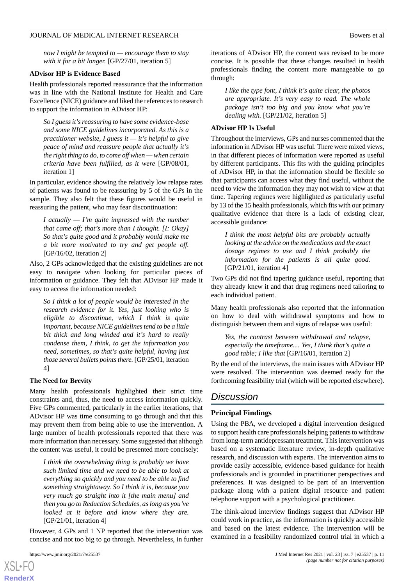*now I might be tempted to — encourage them to stay with it for a bit longer.* [GP/27/01, iteration 5]

#### **ADvisor HP is Evidence Based**

Health professionals reported reassurance that the information was in line with the National Institute for Health and Care Excellence (NICE) guidance and liked the references to research to support the information in ADvisor HP:

*So I guess it's reassuring to have some evidence-base and some NICE guidelines incorporated. As this is a practitioner website, I guess it — it's helpful to give peace of mind and reassure people that actually it's the right thing to do, to come off when — when certain criteria have been fulfilled, as it were* [GP/08/01, iteration 1]

In particular, evidence showing the relatively low relapse rates of patients was found to be reassuring by 5 of the GPs in the sample. They also felt that these figures would be useful in reassuring the patient, who may fear discontinuation:

*I actually — I'm quite impressed with the number that came off; that's more than I thought. [I: Okay] So that's quite good and it probably would make me a bit more motivated to try and get people off.* [GP/16/02, iteration 2]

Also, 2 GPs acknowledged that the existing guidelines are not easy to navigate when looking for particular pieces of information or guidance. They felt that ADvisor HP made it easy to access the information needed:

*So I think a lot of people would be interested in the research evidence for it. Yes, just looking who is eligible to discontinue, which I think is quite important, because NICE guidelines tend to be a little bit thick and long winded and it's hard to really condense them, I think, to get the information you need, sometimes, so that's quite helpful, having just those several bullets points there.* [GP/25/01, iteration 4]

#### **The Need for Brevity**

Many health professionals highlighted their strict time constraints and, thus, the need to access information quickly. Five GPs commented, particularly in the earlier iterations, that ADvisor HP was time consuming to go through and that this may prevent them from being able to use the intervention. A large number of health professionals reported that there was more information than necessary. Some suggested that although the content was useful, it could be presented more concisely:

*I think the overwhelming thing is probably we have such limited time and we need to be able to look at everything so quickly and you need to be able to find something straightaway. So I think it is, because you very much go straight into it [the main menu] and then you go to Reduction Schedules, as long as you've looked at it before and know where they are.* [GP/21/01, iteration 4]

However, 4 GPs and 1 NP reported that the intervention was concise and not too big to go through. Nevertheless, in further

iterations of ADvisor HP, the content was revised to be more concise. It is possible that these changes resulted in health professionals finding the content more manageable to go through:

*I like the type font, I think it's quite clear, the photos are appropriate. It's very easy to read. The whole package isn't too big and you know what you're dealing with.* [GP/21/02, iteration 5]

#### **ADvisor HP Is Useful**

Throughout the interviews, GPs and nurses commented that the information in ADvisor HP was useful. There were mixed views, in that different pieces of information were reported as useful by different participants. This fits with the guiding principles of ADvisor HP, in that the information should be flexible so that participants can access what they find useful, without the need to view the information they may not wish to view at that time. Tapering regimes were highlighted as particularly useful by 13 of the 15 health professionals, which fits with our primary qualitative evidence that there is a lack of existing clear, accessible guidance:

*I think the most helpful bits are probably actually looking at the advice on the medications and the exact dosage regimes to use and I think probably the information for the patients is all quite good.* [GP/21/01, iteration 4]

Two GPs did not find tapering guidance useful, reporting that they already knew it and that drug regimens need tailoring to each individual patient.

Many health professionals also reported that the information on how to deal with withdrawal symptoms and how to distinguish between them and signs of relapse was useful:

*Yes, the contrast between withdrawal and relapse, especially the timeframe.... Yes, I think that's quite a good table; I like that* [GP/16/01, iteration 2]

By the end of the interviews, the main issues with ADvisor HP were resolved. The intervention was deemed ready for the forthcoming feasibility trial (which will be reported elsewhere).

# *Discussion*

#### **Principal Findings**

Using the PBA, we developed a digital intervention designed to support health care professionals helping patients to withdraw from long-term antidepressant treatment. This intervention was based on a systematic literature review, in-depth qualitative research, and discussion with experts. The intervention aims to provide easily accessible, evidence-based guidance for health professionals and is grounded in practitioner perspectives and preferences. It was designed to be part of an intervention package along with a patient digital resource and patient telephone support with a psychological practitioner.

The think-aloud interview findings suggest that ADvisor HP could work in practice, as the information is quickly accessible and based on the latest evidence. The intervention will be examined in a feasibility randomized control trial in which a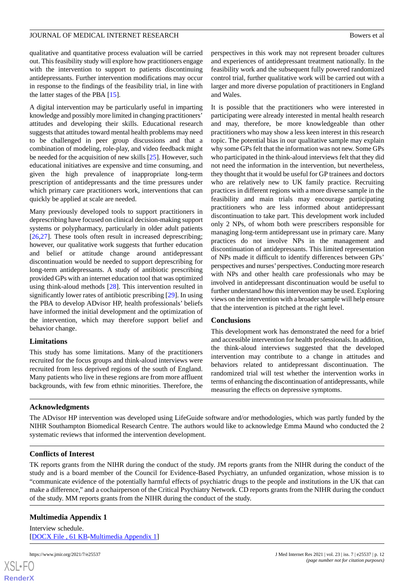qualitative and quantitative process evaluation will be carried out. This feasibility study will explore how practitioners engage with the intervention to support to patients discontinuing antidepressants. Further intervention modifications may occur in response to the findings of the feasibility trial, in line with the latter stages of the PBA [[15\]](#page-12-13).

A digital intervention may be particularly useful in imparting knowledge and possibly more limited in changing practitioners' attitudes and developing their skills. Educational research suggests that attitudes toward mental health problems may need to be challenged in peer group discussions and that a combination of modeling, role-play, and video feedback might be needed for the acquisition of new skills [[25\]](#page-13-7). However, such educational initiatives are expensive and time consuming, and given the high prevalence of inappropriate long-term prescription of antidepressants and the time pressures under which primary care practitioners work, interventions that can quickly be applied at scale are needed.

Many previously developed tools to support practitioners in deprescribing have focused on clinical decision-making support systems or polypharmacy, particularly in older adult patients [[26](#page-13-8)[,27](#page-13-9)]. These tools often result in increased deprescribing; however, our qualitative work suggests that further education and belief or attitude change around antidepressant discontinuation would be needed to support deprescribing for long-term antidepressants. A study of antibiotic prescribing provided GPs with an internet education tool that was optimized using think-aloud methods [\[28](#page-13-10)]. This intervention resulted in significantly lower rates of antibiotic prescribing [\[29](#page-13-11)]. In using the PBA to develop ADvisor HP, health professionals' beliefs have informed the initial development and the optimization of the intervention, which may therefore support belief and behavior change.

#### **Limitations**

This study has some limitations. Many of the practitioners recruited for the focus groups and think-aloud interviews were recruited from less deprived regions of the south of England. Many patients who live in these regions are from more affluent backgrounds, with few from ethnic minorities. Therefore, the

perspectives in this work may not represent broader cultures and experiences of antidepressant treatment nationally. In the feasibility work and the subsequent fully powered randomized control trial, further qualitative work will be carried out with a larger and more diverse population of practitioners in England and Wales.

It is possible that the practitioners who were interested in participating were already interested in mental health research and may, therefore, be more knowledgeable than other practitioners who may show a less keen interest in this research topic. The potential bias in our qualitative sample may explain why some GPs felt that the information was not new. Some GPs who participated in the think-aloud interviews felt that they did not need the information in the intervention, but nevertheless, they thought that it would be useful for GP trainees and doctors who are relatively new to UK family practice. Recruiting practices in different regions with a more diverse sample in the feasibility and main trials may encourage participating practitioners who are less informed about antidepressant discontinuation to take part. This development work included only 2 NPs, of whom both were prescribers responsible for managing long-term antidepressant use in primary care. Many practices do not involve NPs in the management and discontinuation of antidepressants. This limited representation of NPs made it difficult to identify differences between GPs' perspectives and nurses'perspectives. Conducting more research with NPs and other health care professionals who may be involved in antidepressant discontinuation would be useful to further understand how this intervention may be used. Exploring views on the intervention with a broader sample will help ensure that the intervention is pitched at the right level.

#### **Conclusions**

This development work has demonstrated the need for a brief and accessible intervention for health professionals. In addition, the think-aloud interviews suggested that the developed intervention may contribute to a change in attitudes and behaviors related to antidepressant discontinuation. The randomized trial will test whether the intervention works in terms of enhancing the discontinuation of antidepressants, while measuring the effects on depressive symptoms.

# **Acknowledgments**

The ADvisor HP intervention was developed using LifeGuide software and/or methodologies, which was partly funded by the NIHR Southampton Biomedical Research Centre. The authors would like to acknowledge Emma Maund who conducted the 2 systematic reviews that informed the intervention development.

# **Conflicts of Interest**

<span id="page-11-0"></span>TK reports grants from the NIHR during the conduct of the study. JM reports grants from the NIHR during the conduct of the study and is a board member of the Council for Evidence-Based Psychiatry, an unfunded organization, whose mission is to "communicate evidence of the potentially harmful effects of psychiatric drugs to the people and institutions in the UK that can make a difference," and a cochairperson of the Critical Psychiatry Network. CD reports grants from the NIHR during the conduct of the study. MM reports grants from the NIHR during the conduct of the study.

# **Multimedia Appendix 1**

Interview schedule. [[DOCX File , 61 KB](https://jmir.org/api/download?alt_name=jmir_v23i7e25537_app1.docx&filename=cde30ed1f07f885a3c01b018c4bd13ff.docx)-[Multimedia Appendix 1\]](https://jmir.org/api/download?alt_name=jmir_v23i7e25537_app1.docx&filename=cde30ed1f07f885a3c01b018c4bd13ff.docx)



**[RenderX](http://www.renderx.com/)**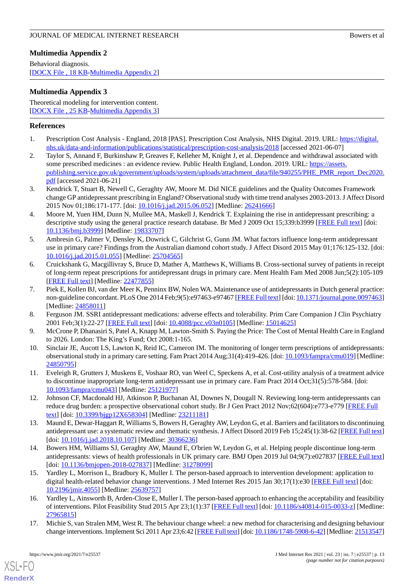# <span id="page-12-16"></span>**Multimedia Appendix 2**

Behavioral diagnosis. [[DOCX File , 18 KB](https://jmir.org/api/download?alt_name=jmir_v23i7e25537_app2.docx&filename=e99684f3dc247daba616040fd7cc37a5.docx)-[Multimedia Appendix 2\]](https://jmir.org/api/download?alt_name=jmir_v23i7e25537_app2.docx&filename=e99684f3dc247daba616040fd7cc37a5.docx)

# <span id="page-12-17"></span>**Multimedia Appendix 3**

Theoretical modeling for intervention content. [[DOCX File , 25 KB](https://jmir.org/api/download?alt_name=jmir_v23i7e25537_app3.docx&filename=0e71e8cc5248f1c7d45660c0d8b05ca5.docx)-[Multimedia Appendix 3\]](https://jmir.org/api/download?alt_name=jmir_v23i7e25537_app3.docx&filename=0e71e8cc5248f1c7d45660c0d8b05ca5.docx)

# <span id="page-12-0"></span>**References**

- <span id="page-12-1"></span>1. Prescription Cost Analysis - England, 2018 [PAS]. Prescription Cost Analysis, NHS Digital. 2019. URL: [https://digital.](https://digital.nhs.uk/data-and-information/publications/statistical/prescription-cost-analysis/2018) [nhs.uk/data-and-information/publications/statistical/prescription-cost-analysis/2018](https://digital.nhs.uk/data-and-information/publications/statistical/prescription-cost-analysis/2018) [accessed 2021-06-07]
- <span id="page-12-2"></span>2. Taylor S, Annand F, Burkinshaw P, Greaves F, Kelleher M, Knight J, et al. Dependence and withdrawal associated with some prescribed medicines : an evidence review. Public Health England, London. 2019. URL: [https://assets.](https://assets.publishing.service.gov.uk/government/uploads/system/uploads/attachment_data/file/940255/PHE_PMR_report_Dec2020.pdf) [publishing.service.gov.uk/government/uploads/system/uploads/attachment\\_data/file/940255/PHE\\_PMR\\_report\\_Dec2020.](https://assets.publishing.service.gov.uk/government/uploads/system/uploads/attachment_data/file/940255/PHE_PMR_report_Dec2020.pdf) [pdf](https://assets.publishing.service.gov.uk/government/uploads/system/uploads/attachment_data/file/940255/PHE_PMR_report_Dec2020.pdf) [accessed 2021-06-21]
- <span id="page-12-3"></span>3. Kendrick T, Stuart B, Newell C, Geraghty AW, Moore M. Did NICE guidelines and the Quality Outcomes Framework change GP antidepressant prescribing in England? Observational study with time trend analyses 2003-2013. J Affect Disord 2015 Nov 01;186:171-177. [doi: [10.1016/j.jad.2015.06.052](http://dx.doi.org/10.1016/j.jad.2015.06.052)] [Medline: [26241666\]](http://www.ncbi.nlm.nih.gov/entrez/query.fcgi?cmd=Retrieve&db=PubMed&list_uids=26241666&dopt=Abstract)
- <span id="page-12-4"></span>4. Moore M, Yuen HM, Dunn N, Mullee MA, Maskell J, Kendrick T. Explaining the rise in antidepressant prescribing: a descriptive study using the general practice research database. Br Med J 2009 Oct 15;339:b3999 [\[FREE Full text\]](http://europepmc.org/abstract/MED/19833707) [doi: [10.1136/bmj.b3999\]](http://dx.doi.org/10.1136/bmj.b3999) [Medline: [19833707\]](http://www.ncbi.nlm.nih.gov/entrez/query.fcgi?cmd=Retrieve&db=PubMed&list_uids=19833707&dopt=Abstract)
- 5. Ambresin G, Palmer V, Densley K, Dowrick C, Gilchrist G, Gunn JM. What factors influence long-term antidepressant use in primary care? Findings from the Australian diamond cohort study. J Affect Disord 2015 May 01;176:125-132. [doi: [10.1016/j.jad.2015.01.055\]](http://dx.doi.org/10.1016/j.jad.2015.01.055) [Medline: [25704565\]](http://www.ncbi.nlm.nih.gov/entrez/query.fcgi?cmd=Retrieve&db=PubMed&list_uids=25704565&dopt=Abstract)
- <span id="page-12-5"></span>6. Cruickshank G, Macgillivray S, Bruce D, Mather A, Matthews K, Williams B. Cross-sectional survey of patients in receipt of long-term repeat prescriptions for antidepressant drugs in primary care. Ment Health Fam Med 2008 Jun;5(2):105-109 [[FREE Full text](http://europepmc.org/abstract/MED/22477855)] [Medline: [22477855](http://www.ncbi.nlm.nih.gov/entrez/query.fcgi?cmd=Retrieve&db=PubMed&list_uids=22477855&dopt=Abstract)]
- <span id="page-12-7"></span><span id="page-12-6"></span>7. Piek E, Kollen BJ, van der Meer K, Penninx BW, Nolen WA. Maintenance use of antidepressants in Dutch general practice: non-guideline concordant. PLoS One 2014 Feb;9(5):e97463-e97467 [[FREE Full text](https://dx.plos.org/10.1371/journal.pone.0097463)] [doi: [10.1371/journal.pone.0097463](http://dx.doi.org/10.1371/journal.pone.0097463)] [Medline: [24858011](http://www.ncbi.nlm.nih.gov/entrez/query.fcgi?cmd=Retrieve&db=PubMed&list_uids=24858011&dopt=Abstract)]
- <span id="page-12-8"></span>8. Ferguson JM. SSRI antidepressant medications: adverse effects and tolerability. Prim Care Companion J Clin Psychiatry 2001 Feb;3(1):22-27 [\[FREE Full text\]](http://www.psychiatrist.com/PCC/article/Pages/2001/v03n01/v03n0105.aspx) [doi:  $10.4088/pec.v03n0105$ ] [Medline: [15014625](http://www.ncbi.nlm.nih.gov/entrez/query.fcgi?cmd=Retrieve&db=PubMed&list_uids=15014625&dopt=Abstract)]
- <span id="page-12-9"></span>9. McCrone P, Dhanasiri S, Patel A, Knapp M, Lawton-Smith S. Paying the Price: The Cost of Mental Health Care in England to 2026. London: The King's Fund; Oct 2008:1-165.
- <span id="page-12-10"></span>10. Sinclair JE, Aucott LS, Lawton K, Reid IC, Cameron IM. The monitoring of longer term prescriptions of antidepressants: observational study in a primary care setting. Fam Pract 2014 Aug;31(4):419-426. [doi: [10.1093/fampra/cmu019](http://dx.doi.org/10.1093/fampra/cmu019)] [Medline: [24850795](http://www.ncbi.nlm.nih.gov/entrez/query.fcgi?cmd=Retrieve&db=PubMed&list_uids=24850795&dopt=Abstract)]
- <span id="page-12-11"></span>11. Eveleigh R, Grutters J, Muskens E, Voshaar RO, van Weel C, Speckens A, et al. Cost-utility analysis of a treatment advice to discontinue inappropriate long-term antidepressant use in primary care. Fam Pract 2014 Oct;31(5):578-584. [doi: [10.1093/fampra/cmu043](http://dx.doi.org/10.1093/fampra/cmu043)] [Medline: [25121977\]](http://www.ncbi.nlm.nih.gov/entrez/query.fcgi?cmd=Retrieve&db=PubMed&list_uids=25121977&dopt=Abstract)
- <span id="page-12-12"></span>12. Johnson CF, Macdonald HJ, Atkinson P, Buchanan AI, Downes N, Dougall N. Reviewing long-term antidepressants can reduce drug burden: a prospective observational cohort study. Br J Gen Pract 2012 Nov;62(604):e773-e779 [[FREE Full](https://bjgp.org/cgi/pmidlookup?view=long&pmid=23211181) [text](https://bjgp.org/cgi/pmidlookup?view=long&pmid=23211181)] [doi: [10.3399/bjgp12X658304\]](http://dx.doi.org/10.3399/bjgp12X658304) [Medline: [23211181\]](http://www.ncbi.nlm.nih.gov/entrez/query.fcgi?cmd=Retrieve&db=PubMed&list_uids=23211181&dopt=Abstract)
- <span id="page-12-13"></span>13. Maund E, Dewar-Haggart R, Williams S, Bowers H, Geraghty AW, Leydon G, et al. Barriers and facilitators to discontinuing antidepressant use: a systematic review and thematic synthesis. J Affect Disord 2019 Feb 15;245(1):38-62 [[FREE Full text](https://www.jmir.org/2015/1/e30/)] [doi: [10.1016/j.jad.2018.10.107](http://dx.doi.org/10.1016/j.jad.2018.10.107)] [Medline: [30366236\]](http://www.ncbi.nlm.nih.gov/entrez/query.fcgi?cmd=Retrieve&db=PubMed&list_uids=30366236&dopt=Abstract)
- <span id="page-12-14"></span>14. Bowers HM, Williams SJ, Geraghty AW, Maund E, O'brien W, Leydon G, et al. Helping people discontinue long-term antidepressants: views of health professionals in UK primary care. BMJ Open 2019 Jul 04;9(7):e027837 [\[FREE Full text](https://bmjopen.bmj.com/lookup/pmidlookup?view=long&pmid=31278099)] [doi: [10.1136/bmjopen-2018-027837\]](http://dx.doi.org/10.1136/bmjopen-2018-027837) [Medline: [31278099\]](http://www.ncbi.nlm.nih.gov/entrez/query.fcgi?cmd=Retrieve&db=PubMed&list_uids=31278099&dopt=Abstract)
- <span id="page-12-15"></span>15. Yardley L, Morrison L, Bradbury K, Muller I. The person-based approach to intervention development: application to digital health-related behavior change interventions. J Med Internet Res 2015 Jan 30;17(1):e30 [\[FREE Full text\]](https://www.jmir.org/2015/1/e30/) [doi: [10.2196/jmir.4055](http://dx.doi.org/10.2196/jmir.4055)] [Medline: [25639757](http://www.ncbi.nlm.nih.gov/entrez/query.fcgi?cmd=Retrieve&db=PubMed&list_uids=25639757&dopt=Abstract)]
- 16. Yardley L, Ainsworth B, Arden-Close E, Muller I. The person-based approach to enhancing the acceptability and feasibility of interventions. Pilot Feasibility Stud 2015 Apr 23;1(1):37 [[FREE Full text\]](https://pilotfeasibilitystudies.biomedcentral.com/articles/10.1186/s40814-015-0033-z) [doi: [10.1186/s40814-015-0033-z\]](http://dx.doi.org/10.1186/s40814-015-0033-z) [Medline: [27965815](http://www.ncbi.nlm.nih.gov/entrez/query.fcgi?cmd=Retrieve&db=PubMed&list_uids=27965815&dopt=Abstract)]
- 17. Michie S, van Stralen MM, West R. The behaviour change wheel: a new method for characterising and designing behaviour change interventions. Implement Sci 2011 Apr 23;6:42 [\[FREE Full text](https://implementationscience.biomedcentral.com/articles/10.1186/1748-5908-6-42)] [doi: [10.1186/1748-5908-6-42\]](http://dx.doi.org/10.1186/1748-5908-6-42) [Medline: [21513547\]](http://www.ncbi.nlm.nih.gov/entrez/query.fcgi?cmd=Retrieve&db=PubMed&list_uids=21513547&dopt=Abstract)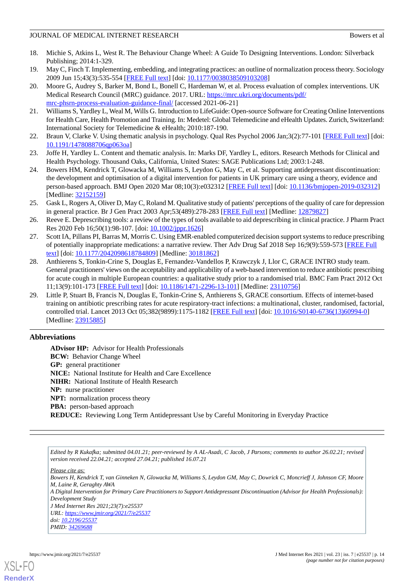- <span id="page-13-0"></span>18. Michie S, Atkins L, West R. The Behaviour Change Wheel: A Guide To Designing Interventions. London: Silverback Publishing; 2014:1-329.
- <span id="page-13-2"></span><span id="page-13-1"></span>19. May C, Finch T. Implementing, embedding, and integrating practices: an outline of normalization process theory. Sociology 2009 Jun 15;43(3):535-554 [[FREE Full text](http://www.bmj.com/lookup/pmidlookup?view=long&pmid=25791983)] [doi: [10.1177/0038038509103208\]](http://dx.doi.org/10.1177/0038038509103208)
- 20. Moore G, Audrey S, Barker M, Bond L, Bonell C, Hardeman W, et al. Process evaluation of complex interventions. UK Medical Research Council (MRC) guidance. 2017. URL: [https://mrc.ukri.org/documents/pdf/](https://mrc.ukri.org/documents/pdf/mrc-phsrn-process-evaluation-guidance-final/) [mrc-phsrn-process-evaluation-guidance-final/](https://mrc.ukri.org/documents/pdf/mrc-phsrn-process-evaluation-guidance-final/) [accessed 2021-06-21]
- <span id="page-13-4"></span><span id="page-13-3"></span>21. Williams S, Yardley L, Weal M, Wills G. Introduction to LifeGuide: Open-source Software for Creating Online Interventions for Health Care, Health Promotion and Training. In: Medetel: Global Telemedicine and eHealth Updates. Zurich, Switzerland: International Society for Telemedicine & eHealth; 2010:187-190.
- <span id="page-13-5"></span>22. Braun V, Clarke V. Using thematic analysis in psychology. Qual Res Psychol 2006 Jan;3(2):77-101 [[FREE Full text](https://www.researchgate.net/publication/235356393_Using_thematic_analysis_in_psychology)] [doi: [10.1191/1478088706qp063oa](http://dx.doi.org/10.1191/1478088706qp063oa)]
- <span id="page-13-6"></span>23. Joffe H, Yardley L. Content and thematic analysis. In: Marks DF, Yardley L, editors. Research Methods for Clinical and Health Psychology. Thousand Oaks, California, United States: SAGE Publications Ltd; 2003:1-248.
- <span id="page-13-7"></span>24. Bowers HM, Kendrick T, Glowacka M, Williams S, Leydon G, May C, et al. Supporting antidepressant discontinuation: the development and optimisation of a digital intervention for patients in UK primary care using a theory, evidence and person-based approach. BMJ Open 2020 Mar 08;10(3):e032312 [[FREE Full text](https://bmjopen.bmj.com/lookup/pmidlookup?view=long&pmid=32152159)] [doi: [10.1136/bmjopen-2019-032312](http://dx.doi.org/10.1136/bmjopen-2019-032312)] [Medline: [32152159](http://www.ncbi.nlm.nih.gov/entrez/query.fcgi?cmd=Retrieve&db=PubMed&list_uids=32152159&dopt=Abstract)]
- <span id="page-13-8"></span>25. Gask L, Rogers A, Oliver D, May C, Roland M. Qualitative study of patients' perceptions of the quality of care for depression in general practice. Br J Gen Pract 2003 Apr;53(489):278-283 [[FREE Full text](https://bjgp.org/cgi/pmidlookup?view=long&pmid=12879827)] [Medline: [12879827](http://www.ncbi.nlm.nih.gov/entrez/query.fcgi?cmd=Retrieve&db=PubMed&list_uids=12879827&dopt=Abstract)]
- <span id="page-13-9"></span>26. Reeve E. Deprescribing tools: a review of the types of tools available to aid deprescribing in clinical practice. J Pharm Pract Res 2020 Feb 16;50(1):98-107. [doi: [10.1002/jppr.1626](http://dx.doi.org/10.1002/jppr.1626)]
- <span id="page-13-10"></span>27. Scott IA, Pillans PI, Barras M, Morris C. Using EMR-enabled computerized decision support systems to reduce prescribing of potentially inappropriate medications: a narrative review. Ther Adv Drug Saf 2018 Sep 16;9(9):559-573 [\[FREE Full](https://journals.sagepub.com/doi/10.1177/2042098618784809?url_ver=Z39.88-2003&rfr_id=ori:rid:crossref.org&rfr_dat=cr_pub%3dpubmed) [text](https://journals.sagepub.com/doi/10.1177/2042098618784809?url_ver=Z39.88-2003&rfr_id=ori:rid:crossref.org&rfr_dat=cr_pub%3dpubmed)] [doi: [10.1177/2042098618784809\]](http://dx.doi.org/10.1177/2042098618784809) [Medline: [30181862\]](http://www.ncbi.nlm.nih.gov/entrez/query.fcgi?cmd=Retrieve&db=PubMed&list_uids=30181862&dopt=Abstract)
- <span id="page-13-11"></span>28. Anthierens S, Tonkin-Crine S, Douglas E, Fernandez-Vandellos P, Krawczyk J, Llor C, GRACE INTRO study team. General practitioners' views on the acceptability and applicability of a web-based intervention to reduce antibiotic prescribing for acute cough in multiple European countries: a qualitative study prior to a randomised trial. BMC Fam Pract 2012 Oct 11;13(9):101-173 [[FREE Full text](https://bmcfampract.biomedcentral.com/articles/10.1186/1471-2296-13-101)] [doi: [10.1186/1471-2296-13-101\]](http://dx.doi.org/10.1186/1471-2296-13-101) [Medline: [23110756\]](http://www.ncbi.nlm.nih.gov/entrez/query.fcgi?cmd=Retrieve&db=PubMed&list_uids=23110756&dopt=Abstract)
- 29. Little P, Stuart B, Francis N, Douglas E, Tonkin-Crine S, Anthierens S, GRACE consortium. Effects of internet-based training on antibiotic prescribing rates for acute respiratory-tract infections: a multinational, cluster, randomised, factorial, controlled trial. Lancet 2013 Oct 05;382(9899):1175-1182 [\[FREE Full text\]](https://linkinghub.elsevier.com/retrieve/pii/S0140-6736(13)60994-0) [doi: [10.1016/S0140-6736\(13\)60994-0](http://dx.doi.org/10.1016/S0140-6736(13)60994-0)] [Medline: [23915885](http://www.ncbi.nlm.nih.gov/entrez/query.fcgi?cmd=Retrieve&db=PubMed&list_uids=23915885&dopt=Abstract)]

# **Abbreviations**

**ADvisor HP:** Advisor for Health Professionals **BCW:** Behavior Change Wheel **GP:** general practitioner **NICE:** National Institute for Health and Care Excellence **NIHR:** National Institute of Health Research **NP:** nurse practitioner **NPT:** normalization process theory **PBA:** person-based approach **REDUCE:** Reviewing Long Term Antidepressant Use by Careful Monitoring in Everyday Practice

*Edited by R Kukafka; submitted 04.01.21; peer-reviewed by A AL-Asadi, C Jacob, J Parsons; comments to author 26.02.21; revised version received 22.04.21; accepted 27.04.21; published 16.07.21*

*Please cite as:*

*Bowers H, Kendrick T, van Ginneken N, Glowacka M, Williams S, Leydon GM, May C, Dowrick C, Moncrieff J, Johnson CF, Moore M, Laine R, Geraghty AWA*

*A Digital Intervention for Primary Care Practitioners to Support Antidepressant Discontinuation (Advisor for Health Professionals): Development Study*

*J Med Internet Res 2021;23(7):e25537 URL: <https://www.jmir.org/2021/7/e25537> doi: [10.2196/25537](http://dx.doi.org/10.2196/25537)*

*PMID: [34269688](http://www.ncbi.nlm.nih.gov/entrez/query.fcgi?cmd=Retrieve&db=PubMed&list_uids=34269688&dopt=Abstract)*